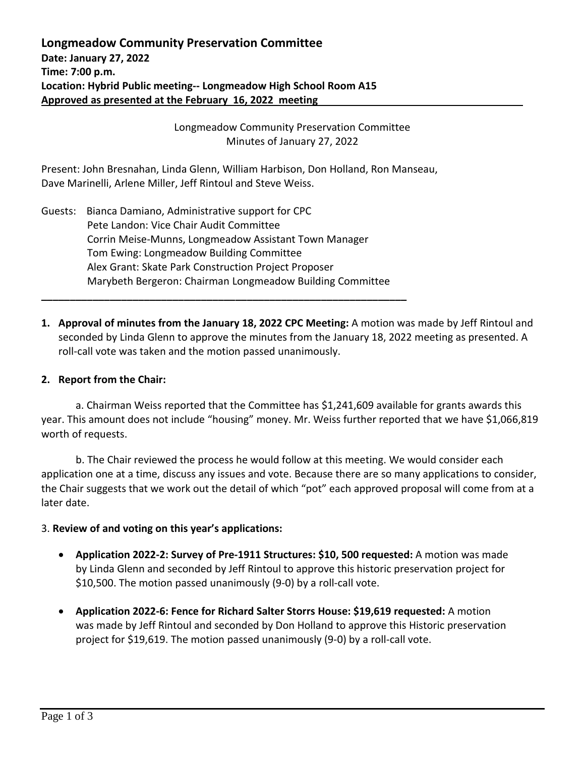Longmeadow Community Preservation Committee Minutes of January 27, 2022

Present: John Bresnahan, Linda Glenn, William Harbison, Don Holland, Ron Manseau, Dave Marinelli, Arlene Miller, Jeff Rintoul and Steve Weiss.

Guests: Bianca Damiano, Administrative support for CPC Pete Landon: Vice Chair Audit Committee Corrin Meise-Munns, Longmeadow Assistant Town Manager Tom Ewing: Longmeadow Building Committee Alex Grant: Skate Park Construction Project Proposer Marybeth Bergeron: Chairman Longmeadow Building Committee

**\_\_\_\_\_\_\_\_\_\_\_\_\_\_\_\_\_\_\_\_\_\_\_\_\_\_\_\_\_\_\_\_\_\_\_\_\_\_\_\_\_\_\_\_\_\_\_\_\_\_\_\_\_\_\_\_\_\_\_\_\_\_\_\_**

**1. Approval of minutes from the January 18, 2022 CPC Meeting:** A motion was made by Jeff Rintoul and seconded by Linda Glenn to approve the minutes from the January 18, 2022 meeting as presented. A roll-call vote was taken and the motion passed unanimously.

## **2. Report from the Chair:**

a. Chairman Weiss reported that the Committee has \$1,241,609 available for grants awards this year. This amount does not include "housing" money. Mr. Weiss further reported that we have \$1,066,819 worth of requests.

b. The Chair reviewed the process he would follow at this meeting. We would consider each application one at a time, discuss any issues and vote. Because there are so many applications to consider, the Chair suggests that we work out the detail of which "pot" each approved proposal will come from at a later date.

## 3. **Review of and voting on this year's applications:**

- **Application 2022-2: Survey of Pre-1911 Structures: \$10, 500 requested:** A motion was made by Linda Glenn and seconded by Jeff Rintoul to approve this historic preservation project for \$10,500. The motion passed unanimously (9-0) by a roll-call vote.
- **Application 2022-6: Fence for Richard Salter Storrs House: \$19,619 requested:** A motion was made by Jeff Rintoul and seconded by Don Holland to approve this Historic preservation project for \$19,619. The motion passed unanimously (9-0) by a roll-call vote.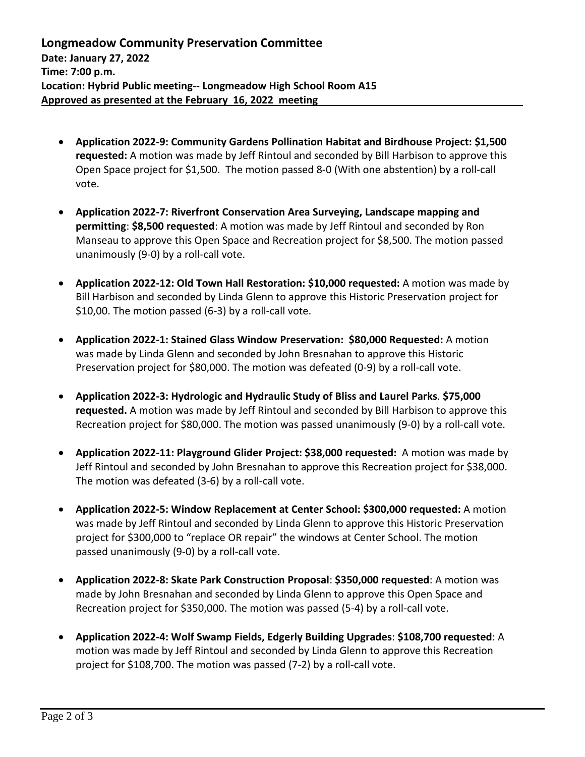- **Application 2022-9: Community Gardens Pollination Habitat and Birdhouse Project: \$1,500 requested:** A motion was made by Jeff Rintoul and seconded by Bill Harbison to approve this Open Space project for \$1,500. The motion passed 8-0 (With one abstention) by a roll-call vote.
- **Application 2022-7: Riverfront Conservation Area Surveying, Landscape mapping and permitting**: **\$8,500 requested**: A motion was made by Jeff Rintoul and seconded by Ron Manseau to approve this Open Space and Recreation project for \$8,500. The motion passed unanimously (9-0) by a roll-call vote.
- **Application 2022-12: Old Town Hall Restoration: \$10,000 requested:** A motion was made by Bill Harbison and seconded by Linda Glenn to approve this Historic Preservation project for \$10,00. The motion passed (6-3) by a roll-call vote.
- **Application 2022-1: Stained Glass Window Preservation: \$80,000 Requested:** A motion was made by Linda Glenn and seconded by John Bresnahan to approve this Historic Preservation project for \$80,000. The motion was defeated (0-9) by a roll-call vote.
- **Application 2022-3: Hydrologic and Hydraulic Study of Bliss and Laurel Parks**. **\$75,000 requested.** A motion was made by Jeff Rintoul and seconded by Bill Harbison to approve this Recreation project for \$80,000. The motion was passed unanimously (9-0) by a roll-call vote.
- **Application 2022-11: Playground Glider Project: \$38,000 requested:** A motion was made by Jeff Rintoul and seconded by John Bresnahan to approve this Recreation project for \$38,000. The motion was defeated (3-6) by a roll-call vote.
- **Application 2022-5: Window Replacement at Center School: \$300,000 requested:** A motion was made by Jeff Rintoul and seconded by Linda Glenn to approve this Historic Preservation project for \$300,000 to "replace OR repair" the windows at Center School. The motion passed unanimously (9-0) by a roll-call vote.
- **Application 2022-8: Skate Park Construction Proposal**: **\$350,000 requested**: A motion was made by John Bresnahan and seconded by Linda Glenn to approve this Open Space and Recreation project for \$350,000. The motion was passed (5-4) by a roll-call vote.
- **Application 2022-4: Wolf Swamp Fields, Edgerly Building Upgrades**: **\$108,700 requested**: A motion was made by Jeff Rintoul and seconded by Linda Glenn to approve this Recreation project for \$108,700. The motion was passed (7-2) by a roll-call vote.